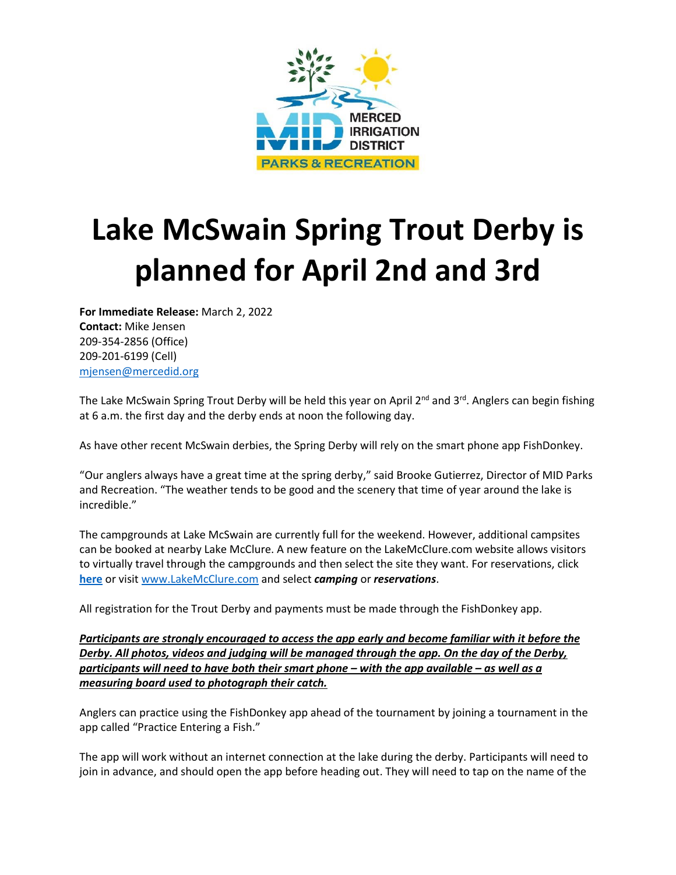

## **Lake McSwain Spring Trout Derby is planned for April 2nd and 3rd**

**For Immediate Release:** March 2, 2022 **Contact:** Mike Jensen 209-354-2856 (Office) 209-201-6199 (Cell)

[mjensen@mercedid.org](mailto:mjensen@mercedid.org)

The Lake McSwain Spring Trout Derby will be held this year on April 2<sup>nd</sup> and 3<sup>rd</sup>. Anglers can begin fishing at 6 a.m. the first day and the derby ends at noon the following day.

As have other recent McSwain derbies, the Spring Derby will rely on the smart phone app FishDonkey.

"Our anglers always have a great time at the spring derby," said Brooke Gutierrez, Director of MID Parks and Recreation. "The weather tends to be good and the scenery that time of year around the lake is incredible."

The campgrounds at Lake McSwain are currently full for the weekend. However, additional campsites can be booked at nearby Lake McClure. A new feature on the LakeMcClure.com website allows visitors to virtually travel through the campgrounds and then select the site they want. For reservations, click **[here](https://www.lakemcclure.com/online-reservations/)** or visit [www.LakeMcClure.com](http://www.lakemcclure.com/) and select *camping* or *reservations*.

All registration for the Trout Derby and payments must be made through the FishDonkey app.

*Participants are strongly encouraged to access the app early and become familiar with it before the Derby. All photos, videos and judging will be managed through the app. On the day of the Derby, participants will need to have both their smart phone – with the app available – as well as a measuring board used to photograph their catch.* 

Anglers can practice using the FishDonkey app ahead of the tournament by joining a tournament in the app called "Practice Entering a Fish."

The app will work without an internet connection at the lake during the derby. Participants will need to join in advance, and should open the app before heading out. They will need to tap on the name of the